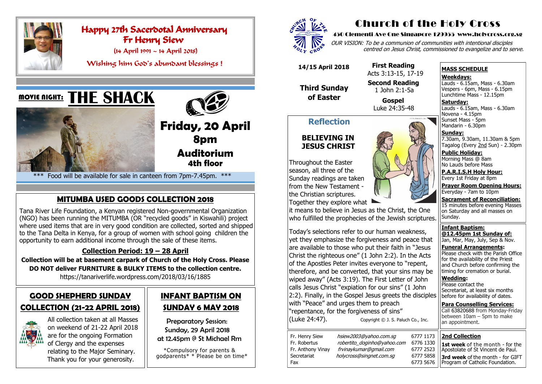# **GOOD SHEPHERD SUNDAY COLLECTION (21-22 APRIL 2018)**



All collection taken at all Masses on weekend of 21-22 April 2018 are for the ongoing Formation of Clergy and the expenses relating to the Major Seminary. Thank you for your generosity.

# **INFANT BAPTISM ON SUNDAY 6 MAY 2018**

Preparatory Session: Sunday, 29 April 2018 at 12.45pm @ St Michael Rm

 \*Compulsory for parents & godparents\* \* Please be on time\*





# Happy 27th Sacerdotal Anniversary Fr Henry Siew

(14 April 1991 ~ 14 April 2018)

Wishing him God's abundant blessings !

## <u>MOVIE NIGHT:</u>





**Friday, 20 April 8pm Auditorium 4th floor**

\*\*\* Food will be available for sale in canteen from 7pm-7.45pm. \*\*\*

## **MITUMBA USED GOODS COLLECTION 2018**

Fr. Henry Siew hsiew2003@yahoo.com.sg 6777 1173 Fr. Robertus *robertito doginho@yahoo.com* 6776 1330 Fr. Anthony Vinay frvinaykumar@gmail.com 6777 2523 Secretariat holycross@singnet.com.sq 6777 5858 Fax 6773 5676

Tana River Life Foundation, a Kenyan registered Non-governmental Organization (NGO) has been running the MITUMBA (OR "recycled goods" in Kiswahili) project where used items that are in very good condition are collected, sorted and shipped to the Tana Delta in Kenya, for a group of women with school going children the opportunity to earn additional income through the sale of these items.

**Saturday:** Lauds - 6.15am, Mass - 6.30am Novena - 4.15pm Sunset Mass - 5pm Mandarin - 6.30pm

#### **Collection Period: 19 – 28 April**

**Collection will be at basement carpark of Church of the Holy Cross. Please DO NOT deliver FURNITURE & BULKY ITEMS to the collection centre.** https://tanariverlife.wordpress.com/2018/03/16/1885

# Church of the Holy Cross

#### 450 Clementi Ave One Singapore 129955 www.holycross.org.sg

Throughout the Easter season, all three of the Sunday readings are taken from the New Testament the Christian scriptures. Together they explore what



OUR VISION: To be a communion of communities with intentional disciples centred on Jesus Christ, commissioned to evangelize and to serve.

#### **MASS SCHEDULE**

**Weekdays:**

Lauds - 6.15am, Mass - 6.30am Vespers - 6pm, Mass - 6.15pm Lunchtime Mass - 12.15pm

**Sunday:** 7.30am, 9.30am, 11.30am & 5pm Tagalog (Every 2nd Sun) - 2.30pm

**Public Holiday:**  Morning Mass @ 8am No Lauds before Mass

**P.A.R.I.S.H Holy Hour:** Every 1st Friday at 8pm

**Prayer Room Opening Hours:** Everyday - 7am to 10pm

**Sacrament of Reconciliation:** 15 minutes before evening Masses on Saturday and all masses on Sunday.

**Infant Baptism: @12.45pm 1st Sunday of:** Jan, Mar, May, July, Sep & Nov.

**Funeral Arrangements:**  Please check with the Parish Office for the availability of the Priest and Church before confirming the timing for cremation or burial.

**Wedding:**  Please contact the Secretariat, at least six months before for availability of dates.

**Para Counselling Services:** Call [63820688](tel:+6563820688) from Monday-Friday between 10am – 5pm to make an appointment.

#### **Reflection**

#### **BELIEVING IN JESUS CHRIST**

it means to believe in Jesus as the Christ, the One who fulfilled the prophecies of the Jewish scriptures.

Today's selections refer to our human weakness, yet they emphasize the forgiveness and peace that are available to those who put their faith in "Jesus Christ the righteous one" (1 John 2:2). In the Acts of the Apostles Peter invites everyone to "repent, therefore, and be converted, that your sins may be wiped away" (Acts 3:19). The First Letter of John calls Jesus Christ "expiation for our sins" (1 John 2:2). Finally, in the Gospel Jesus greets the disciples with "Peace" and urges them to preach "repentance, for the forgiveness of sins" (Luke 24:47). Copyright © J. S. Paluch Co., Inc.

 **14/15 April 2018**

 **Third Sunday of Easter** 

 **First Reading**  Acts 3:13-15, 17-19 **Second Reading** 1 John 2:1-5a

> **Gospel** Luke 24:35-48

#### **2nd Collection**

**1st week** of the month - for the Apostolate of St Vincent de Paul.

**3rd week** of the month - for GIFT Program of Catholic Foundation.